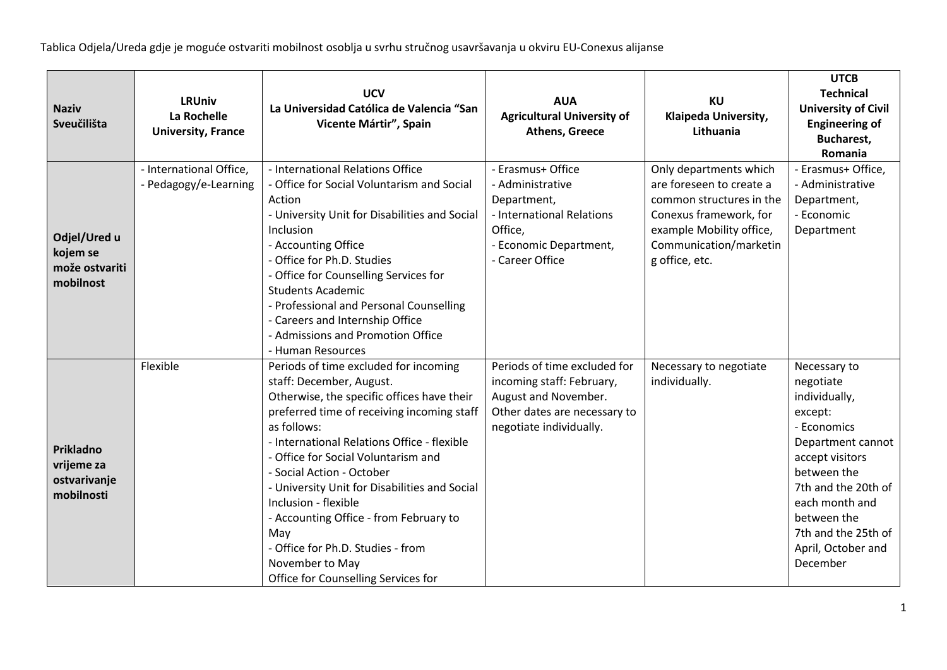| <b>Naziv</b><br>Sveučilišta                             | <b>LRUniv</b><br>La Rochelle<br><b>University, France</b> | <b>UCV</b><br>La Universidad Católica de Valencia "San<br>Vicente Mártir", Spain                                                                                                                                                                                                                                                                                                                                                                                                                                         | <b>AUA</b><br><b>Agricultural University of</b><br><b>Athens, Greece</b>                                                                     | <b>KU</b><br>Klaipeda University,<br>Lithuania                                                                                                                                   | <b>UTCB</b><br><b>Technical</b><br><b>University of Civil</b><br><b>Engineering of</b><br><b>Bucharest,</b><br>Romania                                                                                                                       |
|---------------------------------------------------------|-----------------------------------------------------------|--------------------------------------------------------------------------------------------------------------------------------------------------------------------------------------------------------------------------------------------------------------------------------------------------------------------------------------------------------------------------------------------------------------------------------------------------------------------------------------------------------------------------|----------------------------------------------------------------------------------------------------------------------------------------------|----------------------------------------------------------------------------------------------------------------------------------------------------------------------------------|----------------------------------------------------------------------------------------------------------------------------------------------------------------------------------------------------------------------------------------------|
| Odjel/Ured u<br>kojem se<br>može ostvariti<br>mobilnost | - International Office,<br>- Pedagogy/e-Learning          | - International Relations Office<br>- Office for Social Voluntarism and Social<br>Action<br>- University Unit for Disabilities and Social<br>Inclusion<br>- Accounting Office<br>- Office for Ph.D. Studies<br>- Office for Counselling Services for<br><b>Students Academic</b><br>- Professional and Personal Counselling<br>- Careers and Internship Office<br>- Admissions and Promotion Office<br>- Human Resources                                                                                                 | - Erasmus+ Office<br>- Administrative<br>Department,<br>- International Relations<br>Office,<br>- Economic Department,<br>- Career Office    | Only departments which<br>are foreseen to create a<br>common structures in the<br>Conexus framework, for<br>example Mobility office,<br>Communication/marketin<br>g office, etc. | - Erasmus+ Office,<br>- Administrative<br>Department,<br>- Economic<br>Department                                                                                                                                                            |
| Prikladno<br>vrijeme za<br>ostvarivanje<br>mobilnosti   | Flexible                                                  | Periods of time excluded for incoming<br>staff: December, August.<br>Otherwise, the specific offices have their<br>preferred time of receiving incoming staff<br>as follows:<br>- International Relations Office - flexible<br>- Office for Social Voluntarism and<br>- Social Action - October<br>- University Unit for Disabilities and Social<br>Inclusion - flexible<br>- Accounting Office - from February to<br>May<br>- Office for Ph.D. Studies - from<br>November to May<br>Office for Counselling Services for | Periods of time excluded for<br>incoming staff: February,<br>August and November.<br>Other dates are necessary to<br>negotiate individually. | Necessary to negotiate<br>individually.                                                                                                                                          | Necessary to<br>negotiate<br>individually,<br>except:<br>- Economics<br>Department cannot<br>accept visitors<br>between the<br>7th and the 20th of<br>each month and<br>between the<br>7th and the 25th of<br>April, October and<br>December |